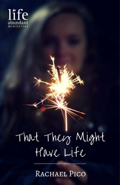

## That Their Might<br>Have Life

RACHAEL PICO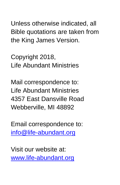Unless otherwise indicated, all Bible quotations are taken from the King James Version.

Copyright 2018, Life Abundant Ministries

Mail correspondence to: Life Abundant Ministries 4357 East Dansville Road Webberville, MI 48892

Email correspondence to: [info@life-abundant.org](mailto:info@life-abundant.org)

Visit our website at: [www.life-abundant.org](http://www.life-abundant.org/)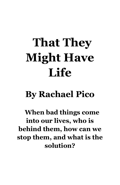## **That They Might Have Life**

## **By Rachael Pico**

**When bad things come into our lives, who is behind them, how can we stop them, and what is the solution?**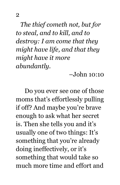*The thief cometh not, but for to steal, and to kill, and to destroy: I am come that they might have life, and that they might have it more abundantly.* 

–John 10:10

Do you ever see one of those moms that's effortlessly pulling if off? And maybe you're brave enough to ask what her secret is. Then she tells you and it's usually one of two things: It's something that you're already doing ineffectively, or it's something that would take so much more time and effort and

2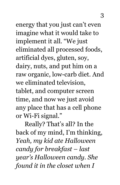energy that you just can't even imagine what it would take to implement it all. "We just eliminated all processed foods, artificial dyes, gluten, soy, dairy, nuts, and put him on a raw organic, low-carb diet. And we eliminated television, tablet, and computer screen time, and now we just avoid any place that has a cell phone or Wi-Fi signal."

Really? That's all? In the back of my mind, I'm thinking, *Yeah, my kid ate Halloween candy for breakfast – last year's Halloween candy. She found it in the closet when I*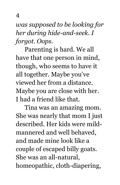*was supposed to be looking for her during hide-and-seek. I forgot. Oops.*

Parenting is hard. We all have that one person in mind, though, who seems to have it all together. Maybe you've viewed her from a distance. Maybe you are close with her. I had a friend like that.

Tina was an amazing mom. She was nearly that mom I just described. Her kids were mildmannered and well behaved, and made mine look like a couple of escaped billy goats. She was an all-natural, homeopathic, cloth-diapering,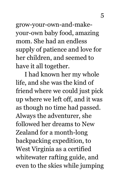grow-your-own-and-makeyour-own baby food, amazing mom. She had an endless supply of patience and love for her children, and seemed to have it all together.

I had known her my whole life, and she was the kind of friend where we could just pick up where we left off, and it was as though no time had passed. Always the adventurer, she followed her dreams to New Zealand for a month-long backpacking expedition, to West Virginia as a certified whitewater rafting guide, and even to the skies while jumping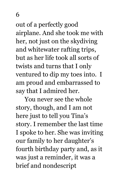out of a perfectly good airplane. And she took me with her, not just on the skydiving and whitewater rafting trips, but as her life took all sorts of twists and turns that I only ventured to dip my toes into. I am proud and embarrassed to say that I admired her.

You never see the whole story, though, and I am not here just to tell you Tina's story. I remember the last time I spoke to her. She was inviting our family to her daughter's fourth birthday party and, as it was just a reminder, it was a brief and nondescript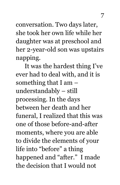conversation. Two days later, she took her own life while her daughter was at preschool and her 2-year-old son was upstairs napping.

It was the hardest thing I've ever had to deal with, and it is something that I am – understandably – still processing. In the days between her death and her funeral, I realized that this was one of those before-and-after moments, where you are able to divide the elements of your life into "before" a thing happened and "after." I made the decision that I would not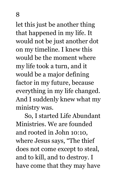let this just be another thing that happened in my life. It would not be just another dot on my timeline. I knew this would be the moment where my life took a turn, and it would be a major defining factor in my future, because everything in my life changed. And I suddenly knew what my ministry was.

So, I started Life Abundant Ministries. We are founded and rooted in John 10:10, where Jesus says, "The thief does not come except to steal, and to kill, and to destroy. I have come that they may have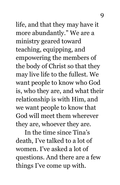life, and that they may have it more abundantly." We are a ministry geared toward teaching, equipping, and empowering the members of the body of Christ so that they may live life to the fullest. We want people to know who God is, who they are, and what their relationship is with Him, and we want people to know that God will meet them wherever they are, whoever they are.

In the time since Tina's death, I've talked to a lot of women. I've asked a lot of questions. And there are a few things I've come up with.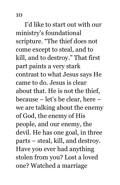I'd like to start out with our ministry's foundational scripture. "The thief does not come except to steal, and to kill, and to destroy." That first part paints a very stark contrast to what Jesus says He came to do. Jesus is clear about that. He is not the thief, because – let's be clear, here – we are talking about the enemy of God, the enemy of His people, and our enemy, the devil. He has one goal, in three parts – steal, kill, and destroy. Have you ever had anything stolen from you? Lost a loved one? Watched a marriage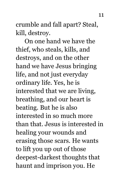crumble and fall apart? Steal, kill, destroy.

On one hand we have the thief, who steals, kills, and destroys, and on the other hand we have Jesus bringing life, and not just everyday ordinary life. Yes, he is interested that we are living, breathing, and our heart is beating. But he is also interested in so much more than that. Jesus is interested in healing your wounds and erasing those scars. He wants to lift you up out of those deepest-darkest thoughts that haunt and imprison you. He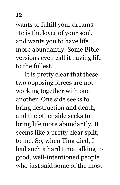wants to fulfill your dreams. He is the lover of your soul, and wants you to have life more abundantly. Some Bible versions even call it having life to the fullest.

It is pretty clear that these two opposing forces are not working together with one another. One side seeks to bring destruction and death, and the other side seeks to bring life more abundantly. It seems like a pretty clear split, to me. So, when Tina died, I had such a hard time talking to good, well-intentioned people who just said some of the most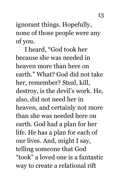ignorant things. Hopefully, none of those people were any of you.

I heard, "God took her because she was needed in heaven more than here on earth." What? God did not take her, remember? Steal, kill, destroy, is the devil's work. He, also, did not need her in heaven, and certainly not more than she was needed here on earth. God had a plan for her life. He has a plan for each of our lives. And, might I say, telling someone that God "took" a loved one is a fantastic way to create a relational rift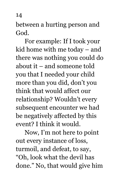between a hurting person and God.

For example: If I took your kid home with me today – and there was nothing you could do about it – and someone told you that I needed your child more than you did, don't you think that would affect our relationship? Wouldn't every subsequent encounter we had be negatively affected by this event? I think it would.

Now, I'm not here to point out every instance of loss, turmoil, and defeat, to say, "Oh, look what the devil has done." No, that would give him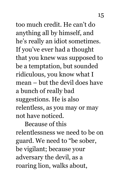too much credit. He can't do anything all by himself, and he's really an idiot sometimes. If you've ever had a thought that you knew was supposed to be a temptation, but sounded ridiculous, you know what I mean – but the devil does have a bunch of really bad suggestions. He is also relentless, as you may or may not have noticed.

Because of this relentlessness we need to be on guard. We need to "be sober, be vigilant; because your adversary the devil, as a roaring lion, walks about,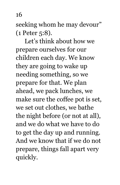seeking whom he may devour" (1 Peter 5:8).

Let's think about how we prepare ourselves for our children each day. We know they are going to wake up needing something, so we prepare for that. We plan ahead, we pack lunches, we make sure the coffee pot is set, we set out clothes, we bathe the night before (or not at all), and we do what we have to do to get the day up and running. And we know that if we do not prepare, things fall apart very quickly.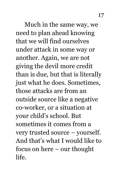Much in the same way, we need to plan ahead knowing that we will find ourselves under attack in some way or another. Again, we are not giving the devil more credit than is due, but that is literally just what he does. Sometimes, those attacks are from an outside source like a negative co-worker, or a situation at your child's school. But sometimes it comes from a very trusted source – yourself. And that's what I would like to focus on here – our thought life.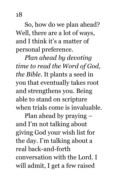So, how do we plan ahead? Well, there are a lot of ways, and I think it's a matter of personal preference.

*Plan ahead by devoting time to read the Word of God, the Bible.* It plants a seed in you that eventually takes root and strengthens you. Being able to stand on scripture when trials come is invaluable.

Plan ahead by praying – and I'm not talking about giving God your wish list for the day. I'm talking about a real back-and-forth conversation with the Lord. I will admit, I get a few raised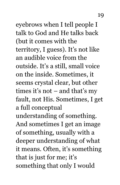eyebrows when I tell people I talk to God and He talks back (but it comes with the territory, I guess). It's not like an audible voice from the outside. It's a still, small voice on the inside. Sometimes, it seems crystal clear, but other times it's not – and that's my fault, not His. Sometimes, I get a full conceptual understanding of something. And sometimes I get an image of something, usually with a deeper understanding of what it means. Often, it's something that is just for me; it's something that only I would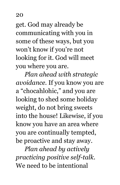get. God may already be communicating with you in some of these ways, but you won't know if you're not looking for it. God will meet you where you are.

*Plan ahead with strategic avoidance.* If you know you are a "chocahlohic," and you are looking to shed some holiday weight, do not bring sweets into the house! Likewise, if you know you have an area where you are continually tempted, be proactive and stay away.

*Plan ahead by actively practicing positive self-talk.* We need to be intentional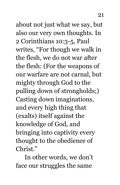about not just what we say, but also our very own thoughts. In 2 Corinthians 10:3-5, Paul writes, "For though we walk in the flesh, we do not war after the flesh: (For the weapons of our warfare are not carnal, but mighty through God to the pulling down of strongholds;) Casting down imaginations, and every high thing that (exalts) itself against the knowledge of God, and bringing into captivity every thought to the obedience of Christ."

In other words, we don't face our struggles the same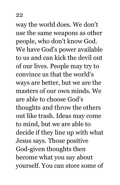way the world does. We don't use the same weapons as other people, who don't know God. We have God's power available to us and can kick the devil out of our lives. People may try to convince us that the world's ways are better, but we are the masters of our own minds. We are able to choose God's thoughts and throw the others out like trash. Ideas may come to mind, but we are able to decide if they line up with what Jesus says. Those positive God-given thoughts then become what you say about yourself. You can store some of

22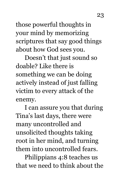those powerful thoughts in your mind by memorizing scriptures that say good things about how God sees you.

Doesn't that just sound so doable? Like there is something we can be doing actively instead of just falling victim to every attack of the enemy.

I can assure you that during Tina's last days, there were many uncontrolled and unsolicited thoughts taking root in her mind, and turning them into uncontrolled fears.

Philippians 4:8 teaches us that we need to think about the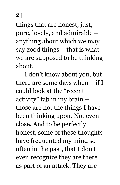things that are honest, just, pure, lovely, and admirable – anything about which we may say good things – that is what we are supposed to be thinking about.

I don't know about you, but there are some days when – if I could look at the "recent activity" tab in my brain – those are not the things I have been thinking upon. Not even close. And to be perfectly honest, some of these thoughts have frequented my mind so often in the past, that I don't even recognize they are there as part of an attack. They are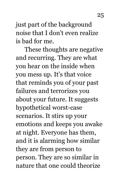just part of the background noise that I don't even realize is bad for me.

These thoughts are negative and recurring. They are what you hear on the inside when you mess up. It's that voice that reminds you of your past failures and terrorizes you about your future. It suggests hypothetical worst-case scenarios. It stirs up your emotions and keeps you awake at night. Everyone has them, and it is alarming how similar they are from person to person. They are so similar in nature that one could theorize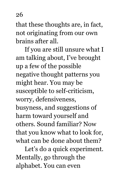that these thoughts are, in fact, not originating from our own brains after all.

If you are still unsure what I am talking about, I've brought up a few of the possible negative thought patterns you might hear. You may be susceptible to self-criticism, worry, defensiveness, busyness, and suggestions of harm toward yourself and others. Sound familiar? Now that you know what to look for, what can be done about them?

Let's do a quick experiment. Mentally, go through the alphabet. You can even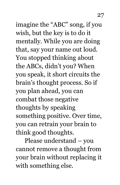imagine the "ABC" song, if you wish, but the key is to do it mentally. While you are doing that, say your name out loud. You stopped thinking about the ABCs, didn't you? When you speak, it short circuits the brain's thought process. So if you plan ahead, you can combat those negative thoughts by speaking something positive. Over time, you can retrain your brain to think good thoughts.

Please understand – you cannot remove a thought from your brain without replacing it with something else.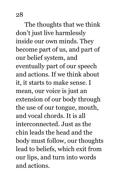The thoughts that we think don't just live harmlessly inside our own minds. They become part of us, and part of our belief system, and eventually part of our speech and actions. If we think about it, it starts to make sense. I mean, our voice is just an extension of our body through the use of our tongue, mouth, and vocal chords. It is all interconnected. Just as the chin leads the head and the body must follow, our thoughts lead to beliefs, which exit from our lips, and turn into words and actions.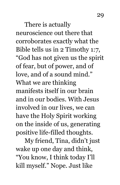There is actually neuroscience out there that corroborates exactly what the Bible tells us in 2 Timothy 1:7, "God has not given us the spirit of fear, but of power, and of love, and of a sound mind." What we are thinking manifests itself in our brain and in our bodies. With Jesus involved in our lives, we can have the Holy Spirit working on the inside of us, generating positive life-filled thoughts.

My friend, Tina, didn't just wake up one day and think, "You know, I think today I'll kill myself." Nope. Just like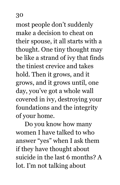most people don't suddenly make a decision to cheat on their spouse, it all starts with a thought. One tiny thought may be like a strand of ivy that finds the tiniest crevice and takes hold. Then it grows, and it grows, and it grows until, one day, you've got a whole wall covered in ivy, destroying your foundations and the integrity of your home.

Do you know how many women I have talked to who answer "yes" when I ask them if they have thought about suicide in the last 6 months? A lot. I'm not talking about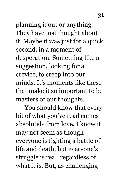planning it out or anything. They have just thought about it. Maybe it was just for a quick second, in a moment of desperation. Something like a suggestion, looking for a crevice, to creep into our minds. It's moments like these that make it so important to be masters of our thoughts.

You should know that every bit of what you've read comes absolutely from love. I know it may not seem as though everyone is fighting a battle of life and death, but everyone's struggle is real, regardless of what it is. But, as challenging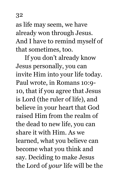as life may seem, we have already won through Jesus. And I have to remind myself of that sometimes, too.

If you don't already know Jesus personally, you can invite Him into your life today. Paul wrote, in Romans 10:9- 10, that if you agree that Jesus is Lord (the ruler of life), and believe in your heart that God raised Him from the realm of the dead to new life, you can share it with Him. As we learned, what you believe can become what you think and say. Deciding to make Jesus the Lord of *your* life will be the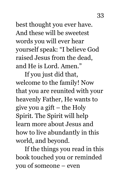best thought you ever have. And these will be sweetest words you will ever hear yourself speak: "I believe God raised Jesus from the dead, and He is Lord. Amen."

If you just did that, welcome to the family! Now that you are reunited with your heavenly Father, He wants to give you a gift – the Holy Spirit. The Spirit will help learn more about Jesus and how to live abundantly in this world, and beyond.

If the things you read in this book touched you or reminded you of someone – even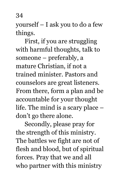yourself – I ask you to do a few things.

First, if you are struggling with harmful thoughts, talk to someone – preferably, a mature Christian, if not a trained minister. Pastors and counselors are great listeners. From there, form a plan and be accountable for your thought life. The mind is a scary place – don't go there alone.

Secondly, please pray for the strength of this ministry. The battles we fight are not of flesh and blood, but of spiritual forces. Pray that we and all who partner with this ministry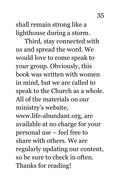shall remain strong like a lighthouse during a storm.

Third, stay connected with us and spread the word. We would love to come speak to your group. Obviously, this book was written with women in mind, but we are called to speak to the Church as a whole. All of the materials on our ministry's website, www.life-abundant.org, are available at no charge for your personal use – feel free to share with others. We are regularly updating our content, so be sure to check in often. Thanks for reading!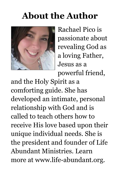## **About the Author**



Rachael Pico is passionate about revealing God as a loving Father, Jesus as a powerful friend,

and the Holy Spirit as a comforting guide. She has developed an intimate, personal relationship with God and is called to teach others how to receive His love based upon their unique individual needs. She is the president and founder of Life Abundant Ministries. Learn more at www.life-abundant.org.